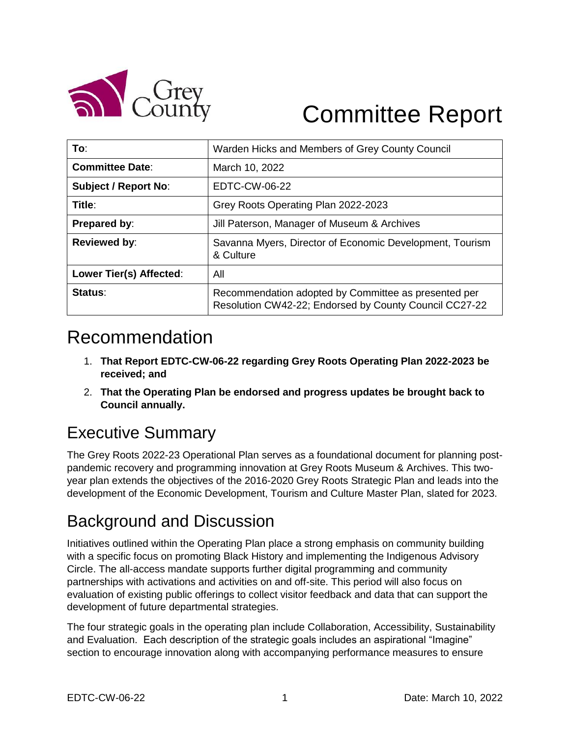

# Committee Report

| To:                         | Warden Hicks and Members of Grey County Council                                                                |
|-----------------------------|----------------------------------------------------------------------------------------------------------------|
| <b>Committee Date:</b>      | March 10, 2022                                                                                                 |
| <b>Subject / Report No:</b> | EDTC-CW-06-22                                                                                                  |
| Title:                      | Grey Roots Operating Plan 2022-2023                                                                            |
| <b>Prepared by:</b>         | Jill Paterson, Manager of Museum & Archives                                                                    |
| <b>Reviewed by:</b>         | Savanna Myers, Director of Economic Development, Tourism<br>& Culture                                          |
| Lower Tier(s) Affected:     | All                                                                                                            |
| Status:                     | Recommendation adopted by Committee as presented per<br>Resolution CW42-22; Endorsed by County Council CC27-22 |

## Recommendation

- 1. **That Report EDTC-CW-06-22 regarding Grey Roots Operating Plan 2022-2023 be received; and**
- 2. **That the Operating Plan be endorsed and progress updates be brought back to Council annually.**

## Executive Summary

The Grey Roots 2022-23 Operational Plan serves as a foundational document for planning postpandemic recovery and programming innovation at Grey Roots Museum & Archives. This twoyear plan extends the objectives of the 2016-2020 Grey Roots Strategic Plan and leads into the development of the Economic Development, Tourism and Culture Master Plan, slated for 2023.

### Background and Discussion

Initiatives outlined within the Operating Plan place a strong emphasis on community building with a specific focus on promoting Black History and implementing the Indigenous Advisory Circle. The all-access mandate supports further digital programming and community partnerships with activations and activities on and off-site. This period will also focus on evaluation of existing public offerings to collect visitor feedback and data that can support the development of future departmental strategies.

The four strategic goals in the operating plan include Collaboration, Accessibility, Sustainability and Evaluation. Each description of the strategic goals includes an aspirational "Imagine" section to encourage innovation along with accompanying performance measures to ensure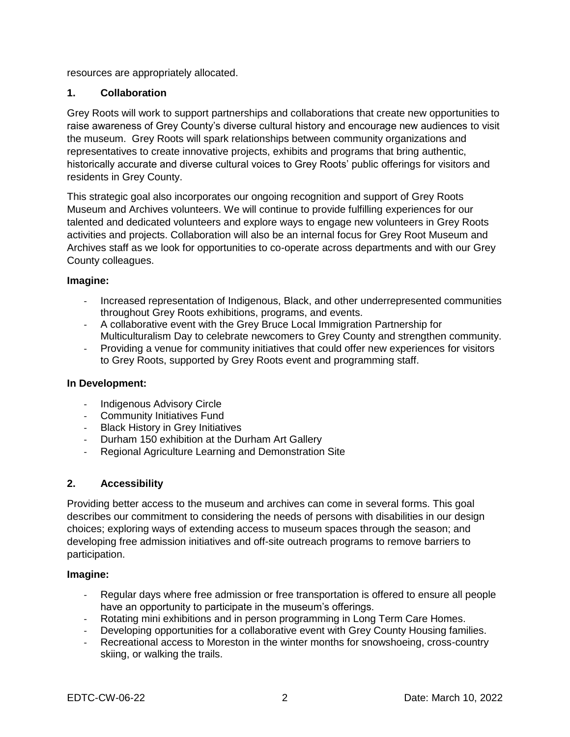resources are appropriately allocated.

#### **1. Collaboration**

Grey Roots will work to support partnerships and collaborations that create new opportunities to raise awareness of Grey County's diverse cultural history and encourage new audiences to visit the museum. Grey Roots will spark relationships between community organizations and representatives to create innovative projects, exhibits and programs that bring authentic, historically accurate and diverse cultural voices to Grey Roots' public offerings for visitors and residents in Grey County.

This strategic goal also incorporates our ongoing recognition and support of Grey Roots Museum and Archives volunteers. We will continue to provide fulfilling experiences for our talented and dedicated volunteers and explore ways to engage new volunteers in Grey Roots activities and projects. Collaboration will also be an internal focus for Grey Root Museum and Archives staff as we look for opportunities to co-operate across departments and with our Grey County colleagues.

#### **Imagine:**

- Increased representation of Indigenous, Black, and other underrepresented communities throughout Grey Roots exhibitions, programs, and events.
- A collaborative event with the Grey Bruce Local Immigration Partnership for Multiculturalism Day to celebrate newcomers to Grey County and strengthen community.
- Providing a venue for community initiatives that could offer new experiences for visitors to Grey Roots, supported by Grey Roots event and programming staff.

#### **In Development:**

- Indigenous Advisory Circle
- Community Initiatives Fund
- Black History in Grey Initiatives
- Durham 150 exhibition at the Durham Art Gallery
- Regional Agriculture Learning and Demonstration Site

#### **2. Accessibility**

Providing better access to the museum and archives can come in several forms. This goal describes our commitment to considering the needs of persons with disabilities in our design choices; exploring ways of extending access to museum spaces through the season; and developing free admission initiatives and off-site outreach programs to remove barriers to participation.

#### **Imagine:**

- Regular days where free admission or free transportation is offered to ensure all people have an opportunity to participate in the museum's offerings.
- Rotating mini exhibitions and in person programming in Long Term Care Homes.
- Developing opportunities for a collaborative event with Grey County Housing families.
- Recreational access to Moreston in the winter months for snowshoeing, cross-country skiing, or walking the trails.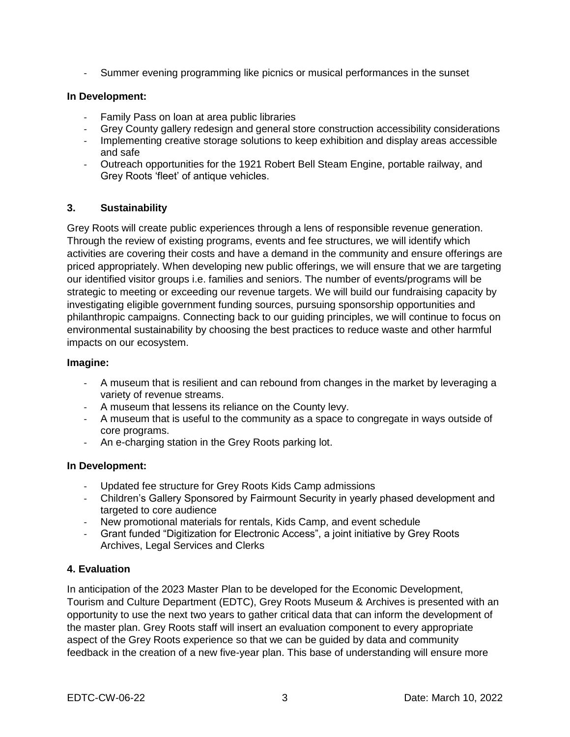- Summer evening programming like picnics or musical performances in the sunset

#### **In Development:**

- Family Pass on loan at area public libraries
- Grey County gallery redesign and general store construction accessibility considerations
- Implementing creative storage solutions to keep exhibition and display areas accessible and safe
- Outreach opportunities for the 1921 Robert Bell Steam Engine, portable railway, and Grey Roots 'fleet' of antique vehicles.

#### **3. Sustainability**

Grey Roots will create public experiences through a lens of responsible revenue generation. Through the review of existing programs, events and fee structures, we will identify which activities are covering their costs and have a demand in the community and ensure offerings are priced appropriately. When developing new public offerings, we will ensure that we are targeting our identified visitor groups i.e. families and seniors. The number of events/programs will be strategic to meeting or exceeding our revenue targets. We will build our fundraising capacity by investigating eligible government funding sources, pursuing sponsorship opportunities and philanthropic campaigns. Connecting back to our guiding principles, we will continue to focus on environmental sustainability by choosing the best practices to reduce waste and other harmful impacts on our ecosystem.

#### **Imagine:**

- A museum that is resilient and can rebound from changes in the market by leveraging a variety of revenue streams.
- A museum that lessens its reliance on the County levy.
- A museum that is useful to the community as a space to congregate in ways outside of core programs.
- An e-charging station in the Grey Roots parking lot.

#### **In Development:**

- Updated fee structure for Grey Roots Kids Camp admissions
- Children's Gallery Sponsored by Fairmount Security in yearly phased development and targeted to core audience
- New promotional materials for rentals, Kids Camp, and event schedule
- Grant funded "Digitization for Electronic Access", a joint initiative by Grey Roots Archives, Legal Services and Clerks

#### **4. Evaluation**

In anticipation of the 2023 Master Plan to be developed for the Economic Development, Tourism and Culture Department (EDTC), Grey Roots Museum & Archives is presented with an opportunity to use the next two years to gather critical data that can inform the development of the master plan. Grey Roots staff will insert an evaluation component to every appropriate aspect of the Grey Roots experience so that we can be guided by data and community feedback in the creation of a new five-year plan. This base of understanding will ensure more